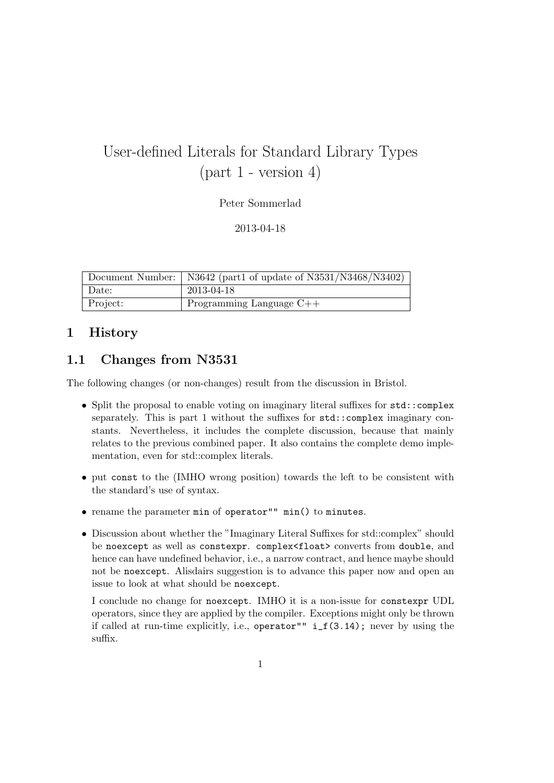# User-defined Literals for Standard Library Types  $(part 1 - version 4)$

Peter Sommerlad

2013-04-18

|          | Document Number:   N3642 (part1 of update of N3531/N3468/N3402) |
|----------|-----------------------------------------------------------------|
| Date:    | 2013-04-18                                                      |
| Project: | Programming Language $C++$                                      |

# 1 History

# 1.1 Changes from N3531

The following changes (or non-changes) result from the discussion in Bristol.

- Split the proposal to enable voting on imaginary literal suffixes for std::complex separately. This is part 1 without the suffixes for std::complex imaginary constants. Nevertheless, it includes the complete discussion, because that mainly relates to the previous combined paper. It also contains the complete demo implementation, even for std::complex literals.
- put const to the (IMHO wrong position) towards the left to be consistent with the standard's use of syntax.
- rename the parameter min of operator"" min() to minutes.
- Discussion about whether the "Imaginary Literal Suffixes for std::complex" should be noexcept as well as constexpr. complex<float> converts from double, and hence can have undefined behavior, i.e., a narrow contract, and hence maybe should not be noexcept. Alisdairs suggestion is to advance this paper now and open an issue to look at what should be noexcept.

I conclude no change for noexcept. IMHO it is a non-issue for constexpr UDL operators, since they are applied by the compiler. Exceptions might only be thrown if called at run-time explicitly, i.e., operator"" i\_f(3.14); never by using the suffix.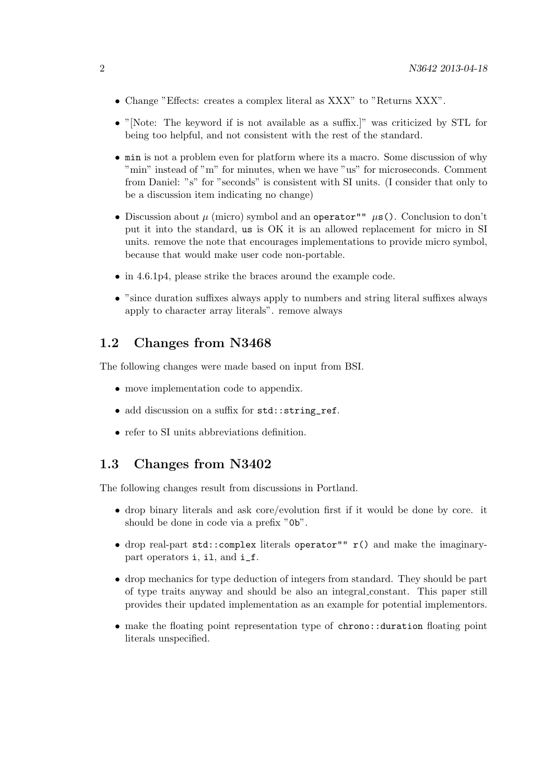- Change "Effects: creates a complex literal as XXX" to "Returns XXX".
- "[Note: The keyword if is not available as a suffix.]" was criticized by STL for being too helpful, and not consistent with the rest of the standard.
- min is not a problem even for platform where its a macro. Some discussion of why "min" instead of "m" for minutes, when we have "us" for microseconds. Comment from Daniel: "s" for "seconds" is consistent with SI units. (I consider that only to be a discussion item indicating no change)
- Discussion about  $\mu$  (micro) symbol and an operator""  $\mu$ s(). Conclusion to don't put it into the standard, us is OK it is an allowed replacement for micro in SI units. remove the note that encourages implementations to provide micro symbol, because that would make user code non-portable.
- in 4.6.1p4, please strike the braces around the example code.
- "since duration suffixes always apply to numbers and string literal suffixes always apply to character array literals". remove always

# 1.2 Changes from N3468

The following changes were made based on input from BSI.

- move implementation code to appendix.
- add discussion on a suffix for std::string\_ref.
- refer to SI units abbreviations definition.

### 1.3 Changes from N3402

The following changes result from discussions in Portland.

- drop binary literals and ask core/evolution first if it would be done by core. it should be done in code via a prefix "0b".
- drop real-part  $std::complex$  literals operator""  $r()$  and make the imaginarypart operators i, il, and i\_f.
- drop mechanics for type deduction of integers from standard. They should be part of type traits anyway and should be also an integral constant. This paper still provides their updated implementation as an example for potential implementors.
- make the floating point representation type of chrono::duration floating point literals unspecified.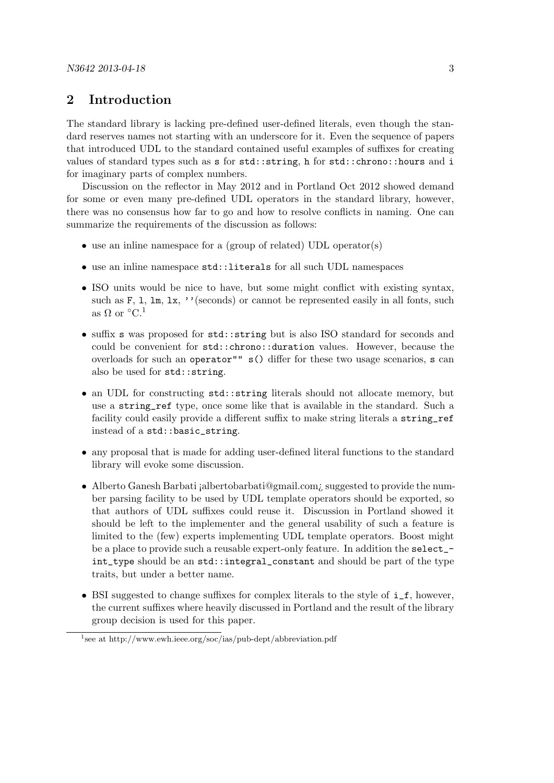### 2 Introduction

The standard library is lacking pre-defined user-defined literals, even though the standard reserves names not starting with an underscore for it. Even the sequence of papers that introduced UDL to the standard contained useful examples of suffixes for creating values of standard types such as s for std::string, h for std::chrono::hours and i for imaginary parts of complex numbers.

Discussion on the reflector in May 2012 and in Portland Oct 2012 showed demand for some or even many pre-defined UDL operators in the standard library, however, there was no consensus how far to go and how to resolve conflicts in naming. One can summarize the requirements of the discussion as follows:

- use an inline namespace for a (group of related) UDL operator(s)
- use an inline namespace std::literals for all such UDL namespaces
- ISO units would be nice to have, but some might conflict with existing syntax, such as F, 1,  $\text{lm}, \text{lx}, \prime$  ' (seconds) or cannot be represented easily in all fonts, such as  $\Omega$  or  $^{\circ}C^{1}$
- suffix s was proposed for std::string but is also ISO standard for seconds and could be convenient for std::chrono::duration values. However, because the overloads for such an operator"" s() differ for these two usage scenarios, s can also be used for std::string.
- an UDL for constructing  $std::string$  literals should not allocate memory, but use a string\_ref type, once some like that is available in the standard. Such a facility could easily provide a different suffix to make string literals a string\_ref instead of a std::basic\_string.
- any proposal that is made for adding user-defined literal functions to the standard library will evoke some discussion.
- Alberto Ganesh Barbati ¡albertobarbati@gmail.com; suggested to provide the number parsing facility to be used by UDL template operators should be exported, so that authors of UDL suffixes could reuse it. Discussion in Portland showed it should be left to the implementer and the general usability of such a feature is limited to the (few) experts implementing UDL template operators. Boost might be a place to provide such a reusable expert-only feature. In addition the select\_ int\_type should be an std::integral\_constant and should be part of the type traits, but under a better name.
- BSI suggested to change suffixes for complex literals to the style of i\_f, however, the current suffixes where heavily discussed in Portland and the result of the library group decision is used for this paper.

<sup>&</sup>lt;sup>1</sup>see at http://www.ewh.ieee.org/soc/ias/pub-dept/abbreviation.pdf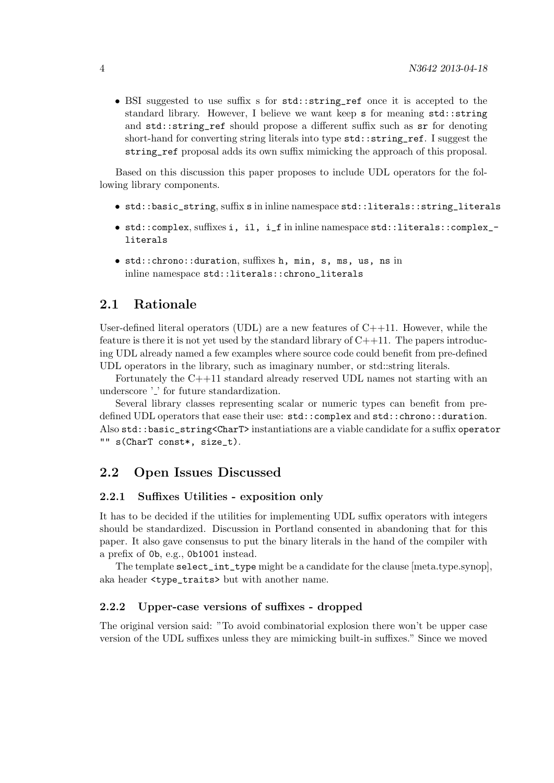• BSI suggested to use suffix s for std::string\_ref once it is accepted to the standard library. However, I believe we want keep s for meaning std::string and std::string\_ref should propose a different suffix such as sr for denoting short-hand for converting string literals into type  $\texttt{std::string\_ref}.$  I suggest the string\_ref proposal adds its own suffix mimicking the approach of this proposal.

Based on this discussion this paper proposes to include UDL operators for the following library components.

- std::basic\_string, suffix s in inline namespace std::literals::string\_literals
- std::complex, suffixes i, il, i\_f in inline namespace std::literals::complex\_ literals
- std::chrono::duration, suffixes h, min, s, ms, us, ns in inline namespace std::literals::chrono\_literals

### 2.1 Rationale

User-defined literal operators (UDL) are a new features of  $C++11$ . However, while the feature is there it is not yet used by the standard library of  $C++11$ . The papers introducing UDL already named a few examples where source code could benefit from pre-defined UDL operators in the library, such as imaginary number, or std::string literals.

Fortunately the C++11 standard already reserved UDL names not starting with an underscore '...' for future standardization.

Several library classes representing scalar or numeric types can benefit from predefined UDL operators that ease their use: std::complex and std::chrono::duration. Also std::basic\_string<CharT> instantiations are a viable candidate for a suffix operator "" s(CharT const\*, size\_t).

### 2.2 Open Issues Discussed

#### 2.2.1 Suffixes Utilities - exposition only

It has to be decided if the utilities for implementing UDL suffix operators with integers should be standardized. Discussion in Portland consented in abandoning that for this paper. It also gave consensus to put the binary literals in the hand of the compiler with a prefix of 0b, e.g., 0b1001 instead.

The template select\_int\_type might be a candidate for the clause [meta.type.synop], aka header <type\_traits> but with another name.

#### 2.2.2 Upper-case versions of suffixes - dropped

The original version said: "To avoid combinatorial explosion there won't be upper case version of the UDL suffixes unless they are mimicking built-in suffixes." Since we moved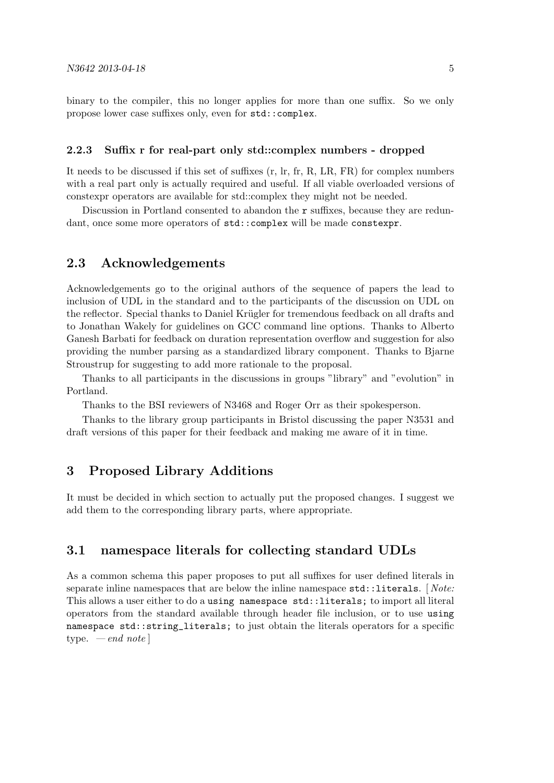binary to the compiler, this no longer applies for more than one suffix. So we only propose lower case suffixes only, even for std::complex.

#### 2.2.3 Suffix r for real-part only std::complex numbers - dropped

It needs to be discussed if this set of suffixes (r, lr, fr, R, LR, FR) for complex numbers with a real part only is actually required and useful. If all viable overloaded versions of constexpr operators are available for std::complex they might not be needed.

Discussion in Portland consented to abandon the r suffixes, because they are redundant, once some more operators of  $std::complex$  will be made constexpr.

### 2.3 Acknowledgements

Acknowledgements go to the original authors of the sequence of papers the lead to inclusion of UDL in the standard and to the participants of the discussion on UDL on the reflector. Special thanks to Daniel Krügler for tremendous feedback on all drafts and to Jonathan Wakely for guidelines on GCC command line options. Thanks to Alberto Ganesh Barbati for feedback on duration representation overflow and suggestion for also providing the number parsing as a standardized library component. Thanks to Bjarne Stroustrup for suggesting to add more rationale to the proposal.

Thanks to all participants in the discussions in groups "library" and "evolution" in Portland.

Thanks to the BSI reviewers of N3468 and Roger Orr as their spokesperson.

Thanks to the library group participants in Bristol discussing the paper N3531 and draft versions of this paper for their feedback and making me aware of it in time.

### 3 Proposed Library Additions

It must be decided in which section to actually put the proposed changes. I suggest we add them to the corresponding library parts, where appropriate.

### 3.1 namespace literals for collecting standard UDLs

As a common schema this paper proposes to put all suffixes for user defined literals in separate inline namespaces that are below the inline namespace  $std::literals.$  [*Note:* This allows a user either to do a using namespace std::literals; to import all literal operators from the standard available through header file inclusion, or to use using namespace std::string\_literals; to just obtain the literals operators for a specific type.  $-\text{end note}$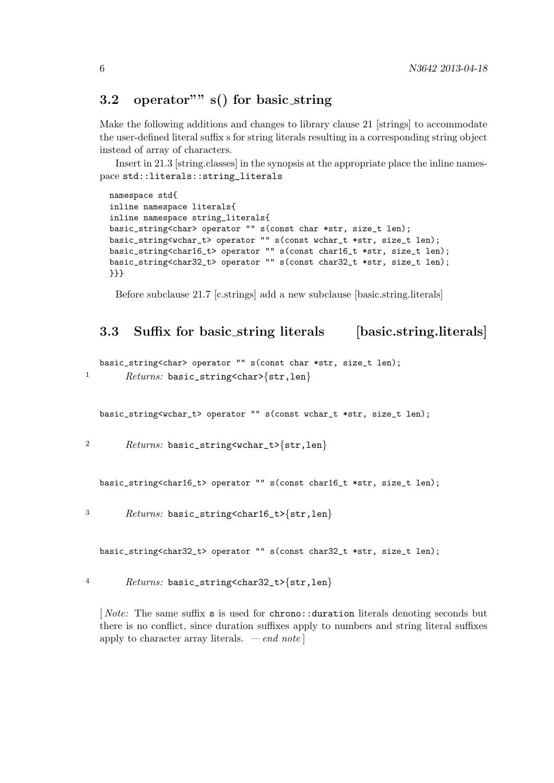# 3.2 operator" s() for basic\_string

Make the following additions and changes to library clause 21 [strings] to accommodate the user-defined literal suffix s for string literals resulting in a corresponding string object instead of array of characters.

Insert in 21.3 [string.classes] in the synopsis at the appropriate place the inline namespace std::literals::string\_literals

```
namespace std{
inline namespace literals{
inline namespace string_literals{
basic_string<char> operator "" s(const char *str, size_t len);
basic_string<wchar_t> operator "" s(const wchar_t *str, size_t len);
basic_string<char16_t> operator "" s(const char16_t *str, size_t len);
basic_string<char32_t> operator "" s(const char32_t *str, size_t len);
}}}
```
Before subclause 21.7 [c.strings] add a new subclause [basic.string.literals]

# 3.3 Suffix for basic\_string literals [basic.string.literals]

```
basic_string<char> operator "" s(const char *str, size_t len);
1 Returns: basic_string<char>{str,len}
```
basic\_string<wchar\_t> operator "" s(const wchar\_t \*str, size\_t len);

2 Returns: basic\_string<wchar\_t>{str,len}

basic\_string<char16\_t> operator "" s(const char16\_t \*str, size\_t len);

<sup>3</sup> Returns: basic\_string<char16\_t>{str,len}

basic\_string<char32\_t> operator "" s(const char32\_t \*str, size\_t len);

4  $Returns: basic_string\{str,len\}$ 

[ Note: The same suffix s is used for chrono::duration literals denoting seconds but there is no conflict, since duration suffixes apply to numbers and string literal suffixes apply to character array literals.  $\,-\,end\,note\]$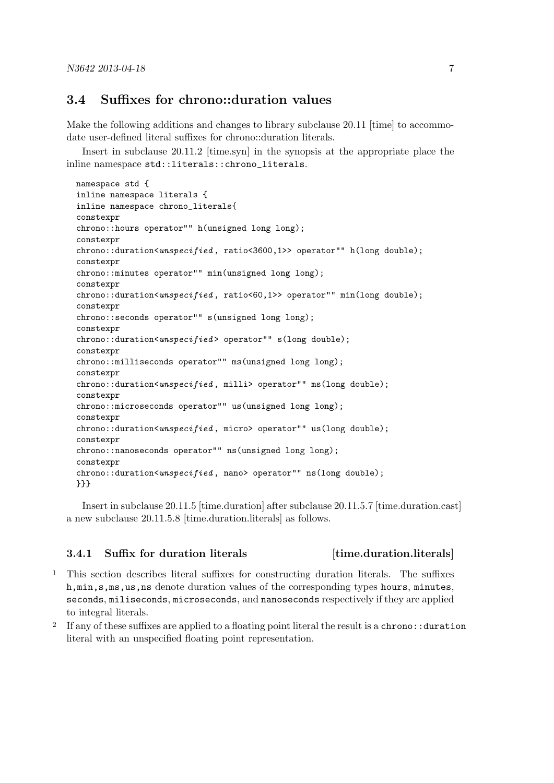### 3.4 Suffixes for chrono::duration values

Make the following additions and changes to library subclause 20.11 [time] to accommodate user-defined literal suffixes for chrono::duration literals.

Insert in subclause 20.11.2 [time.syn] in the synopsis at the appropriate place the inline namespace std::literals::chrono\_literals.

```
namespace std {
inline namespace literals {
inline namespace chrono_literals{
constexpr
chrono::hours operator"" h(unsigned long long);
constexpr
\text{chrono::duration} \leq \text{unstio} \leq \text{right}, \text{ratio} \leq 3600.1 >> operator"" \text{h(long double)};
constexpr
chrono::minutes operator"" min(unsigned long long);
constexpr
chrono::duration<unspecified, ratio<60,1>> operator"" min(long double);
constexpr
chrono::seconds operator"" s(unsigned long long);
constexpr
chrono::duration<unspecified> operator"" s(long double);
constexpr
chrono::milliseconds operator"" ms(unsigned long long);
constexpr
chrono::duration<unspecified, milli> operator"" ms(long double);
constexpr
chrono::microseconds operator"" us(unsigned long long);
constexpr
chrono::duration<unspecified, micro> operator"" us(long double);
constexpr
chrono::nanoseconds operator"" ns(unsigned long long);
constexpr
chrono::duration<unspecified, nano> operator"" ns(long double);
}}}
```
Insert in subclause 20.11.5 [time.duration] after subclause 20.11.5.7 [time.duration.cast] a new subclause 20.11.5.8 [time.duration.literals] as follows.

#### 3.4.1 Suffix for duration literals [time.duration.literals]

- 1 This section describes literal suffixes for constructing duration literals. The suffixes h,min,s,ms,us,ns denote duration values of the corresponding types hours, minutes, seconds, miliseconds, microseconds, and nanoseconds respectively if they are applied to integral literals.
- <sup>2</sup> If any of these suffixes are applied to a floating point literal the result is a chrono: : duration literal with an unspecified floating point representation.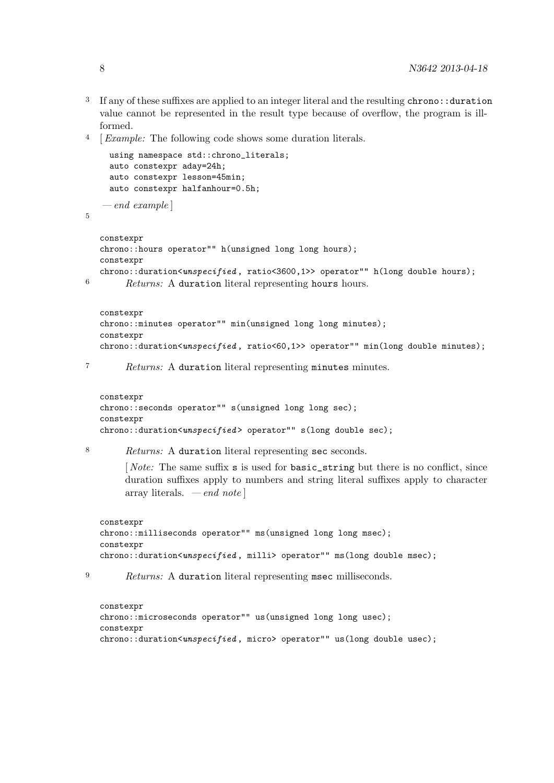- <sup>3</sup> If any of these suffixes are applied to an integer literal and the resulting chrono::duration value cannot be represented in the result type because of overflow, the program is illformed.
- 4 [Example: The following code shows some duration literals.

```
using namespace std::chrono_literals;
    auto constexpr aday=24h;
     auto constexpr lesson=45min;
    auto constexpr halfanhour=0.5h;
   -e<sub>nd</sub> exampleconstexpr
  chrono::hours operator"" h(unsigned long long hours);
  constexpr
  chrono::duration<unspecified, ratio<3600,1>> operator"" h(long double hours);
6 Returns: A duration literal representing hours hours.
  constexpr
  chrono::minutes operator"" min(unsigned long long minutes);
  constexpr
  chrono::duration<unspecified, ratio<60,1>> operator"" min(long double minutes);
7 Returns: A duration literal representing minutes minutes.
  constexpr
  chrono::seconds operator"" s(unsigned long long sec);
  constexpr
  chrono::duration<unspecified> operator"" s(long double sec);
8 Returns: A duration literal representing sec seconds.
        [Note: The same suffix s is used for basic_string but there is no conflict, since
        duration suffixes apply to numbers and string literal suffixes apply to character
```

```
constexpr
chrono::milliseconds operator"" ms(unsigned long long msec);
constexpr
chrono::duration<unspecified, milli> operator"" ms(long double msec);
```
<sup>9</sup> Returns: A duration literal representing msec milliseconds.

array literals. — end note  $\vert$ 

```
constexpr
chrono::microseconds operator"" us(unsigned long long usec);
constexpr
chrono::duration<unspecified, micro> operator"" us(long double usec);
```
5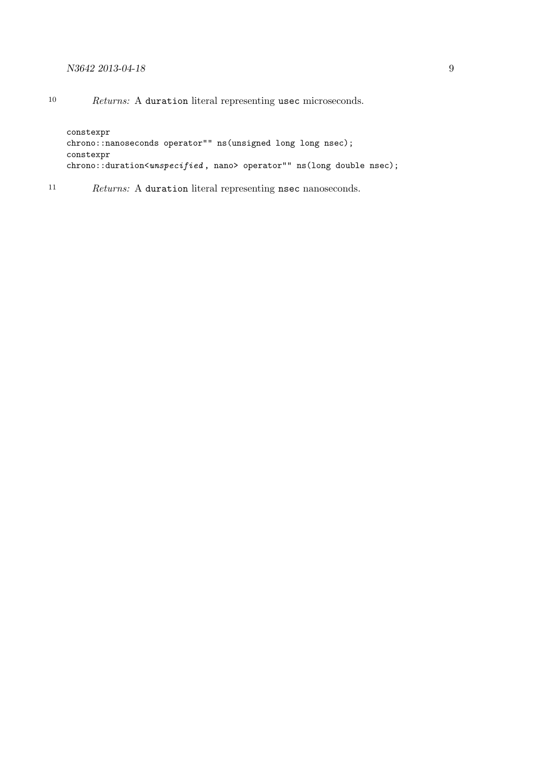#### N3642 2013-04-18 9

constexpr chrono::nanoseconds operator"" ns(unsigned long long nsec); constexpr chrono::duration<unspecified, nano> operator"" ns(long double nsec);

<sup>11</sup> Returns: A duration literal representing nsec nanoseconds.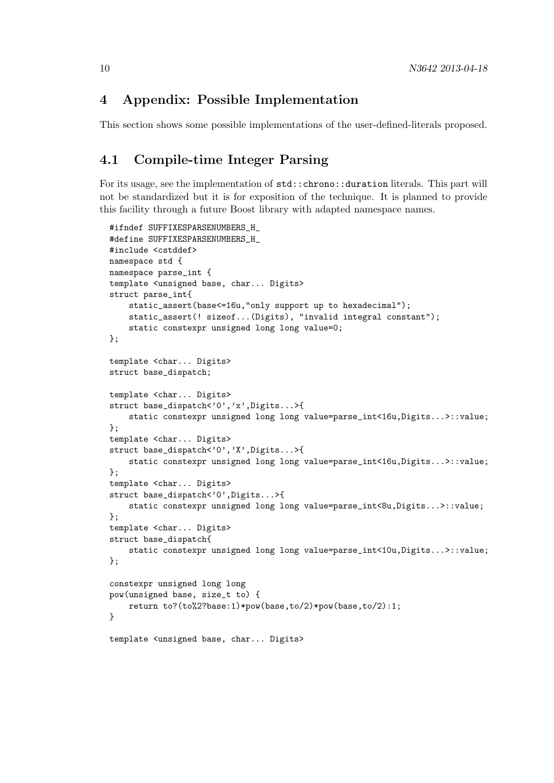### 4 Appendix: Possible Implementation

This section shows some possible implementations of the user-defined-literals proposed.

## 4.1 Compile-time Integer Parsing

For its usage, see the implementation of std::chrono::duration literals. This part will not be standardized but it is for exposition of the technique. It is planned to provide this facility through a future Boost library with adapted namespace names.

```
#ifndef SUFFIXESPARSENUMBERS_H_
#define SUFFIXESPARSENUMBERS_H_
#include <cstddef>
namespace std {
namespace parse_int {
template <unsigned base, char... Digits>
struct parse_int{
    static_assert(base<=16u,"only support up to hexadecimal");
    static_assert(! sizeof...(Digits), "invalid integral constant");
    static constexpr unsigned long long value=0;
};
template <char... Digits>
struct base_dispatch;
template <char... Digits>
struct base_dispatch<'0','x',Digits...>{
    static constexpr unsigned long long value=parse_int<16u,Digits...>::value;
};
template <char... Digits>
struct base_dispatch<'0','X',Digits...>{
    static constexpr unsigned long long value=parse_int<16u,Digits...>::value;
};
template <char... Digits>
struct base_dispatch<'0',Digits...>{
    static constexpr unsigned long long value=parse_int<8u,Digits...>::value;
};
template <char... Digits>
struct base_dispatch{
    static constexpr unsigned long long value=parse_int<10u,Digits...>::value;
};
constexpr unsigned long long
pow(unsigned base, size_t to) {
    return to?(to%2?base:1)*pow(base,to/2)*pow(base,to/2):1;
}
```
template <unsigned base, char... Digits>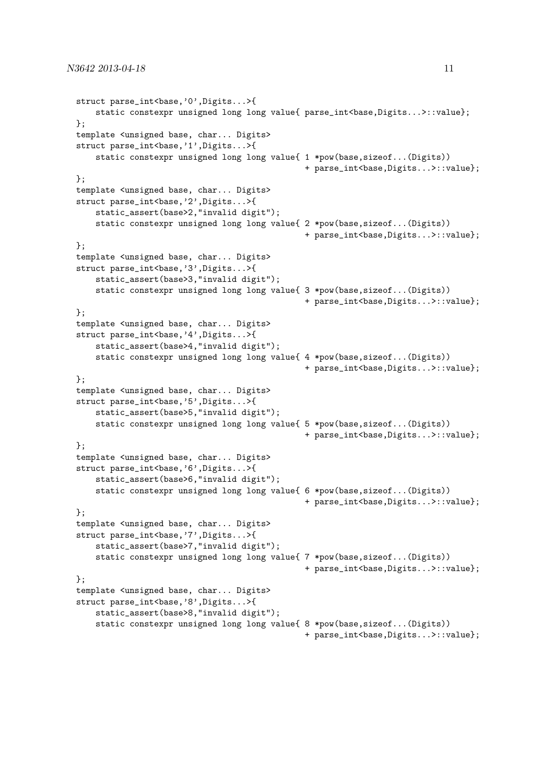```
struct parse_int<br/>base,'0',Digits...>{
    static constexpr unsigned long long value{ parse_int<br/>kase,Digits...>::value};
\}:
template <unsigned base, char... Digits>
struct parse_int<br/>base,'1',Digits...>{
    static constexpr unsigned long long value{ 1 *pow(base,sizeof...(Digits))
                                                + parse_int<base,Digits...>::value};
};
template <unsigned base, char... Digits>
struct parse_int<base,'2',Digits...>{
    static_assert(base>2,"invalid digit");
    static constexpr unsigned long long value{ 2 *pow(base,sizeof...(Digits))
                                                + parse_int<base,Digits...>::value};
};
template <unsigned base, char... Digits>
struct parse_int<base,'3',Digits...>{
    static_assert(base>3,"invalid digit");
    static constexpr unsigned long long value{ 3 *pow(base,sizeof...(Digits))
                                                + parse_int<base,Digits...>::value};
\}:
template <unsigned base, char... Digits>
struct parse_int<br/>base,'4',Digits...>{
    static_assert(base>4,"invalid digit");
    static constexpr unsigned long long value{ 4 *pow(base,sizeof...(Digits))
                                                + parse_int<base,Digits...>::value};
};
template <unsigned base, char... Digits>
struct parse_int<br/>base,'5',Digits...>{
    static_assert(base>5,"invalid digit");
    static constexpr unsigned long long value{ 5 *pow(base,sizeof...(Digits))
                                                + parse_int<base,Digits...>::value};
};
template <unsigned base, char... Digits>
struct parse_int<br/>base,'6',Digits...>{
    static_assert(base>6,"invalid digit");
    static constexpr unsigned long long value{ 6 *pow(base,sizeof...(Digits))
                                                + parse_int<base,Digits...>::value};
};
template <unsigned base, char... Digits>
struct parse_int<br/>base,'7',Digits...>{
    static_assert(base>7,"invalid digit");
    static constexpr unsigned long long value{ 7 *pow(base,sizeof...(Digits))
                                                + parse_int<base,Digits...>::value};
};
template <unsigned base, char... Digits>
struct parse_int<br/>base,'8',Digits...>{
    static_assert(base>8,"invalid digit");
    static constexpr unsigned long long value{ 8 *pow(base,sizeof...(Digits))
                                                + parse_int<br/>base,Digits...>::value};
```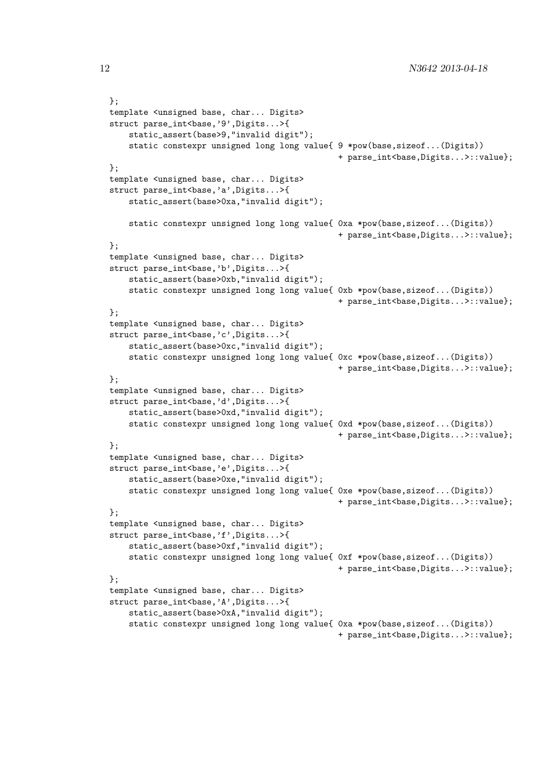```
};
template <unsigned base, char... Digits>
struct parse_int<base,'9',Digits...>{
    static_assert(base>9,"invalid digit");
    static constexpr unsigned long long value{ 9 *pow(base,sizeof...(Digits))
                                                + parse_int<base,Digits...>::value};
};
template <unsigned base, char... Digits>
struct parse_int<br/>base,'a',Digits...>{
    static_assert(base>0xa,"invalid digit");
    static constexpr unsigned long long value{ 0xa *pow(base,sizeof...(Digits))
                                                + parse_int<base,Digits...>::value};
};
template <unsigned base, char... Digits>
struct parse_int<br/>base,'b',Digits...>{
    static_assert(base>0xb,"invalid digit");
    static constexpr unsigned long long value{ 0xb *pow(base,sizeof...(Digits))
                                                + parse_int<base,Digits...>::value};
};
template <unsigned base, char... Digits>
struct parse_int<br/>base,'c',Digits...>{
    static_assert(base>0xc,"invalid digit");
    static constexpr unsigned long long value{ 0xc *pow(base,sizeof...(Digits))
                                                + parse_int<base,Digits...>::value};
};
template <unsigned base, char... Digits>
struct parse_int<br/>base,'d',Digits...>{
    static_assert(base>0xd,"invalid digit");
    static constexpr unsigned long long value{ 0xd *pow(base,sizeof...(Digits))
                                                + parse_int<base,Digits...>::value};
};
template <unsigned base, char... Digits>
struct parse_int<br/>base,'e',Digits...>{
    static_assert(base>0xe,"invalid digit");
    static constexpr unsigned long long value{ 0xe *pow(base,sizeof...(Digits))
                                                + parse_int<br/>base,Digits...>::value};
};
template <unsigned base, char... Digits>
struct parse_int<br/>base,'f',Digits...>{
    static_assert(base>0xf,"invalid digit");
    static constexpr unsigned long long value{ 0xf *pow(base,sizeof...(Digits))
                                                + parse_int<base,Digits...>::value};
};
template <unsigned base, char... Digits>
struct parse_int<br/>base,'A',Digits...>{
    static_assert(base>0xA,"invalid digit");
    static constexpr unsigned long long value{ 0xa *pow(base,sizeof...(Digits))
                                                + parse_int<br/>base,Digits...>::value};
```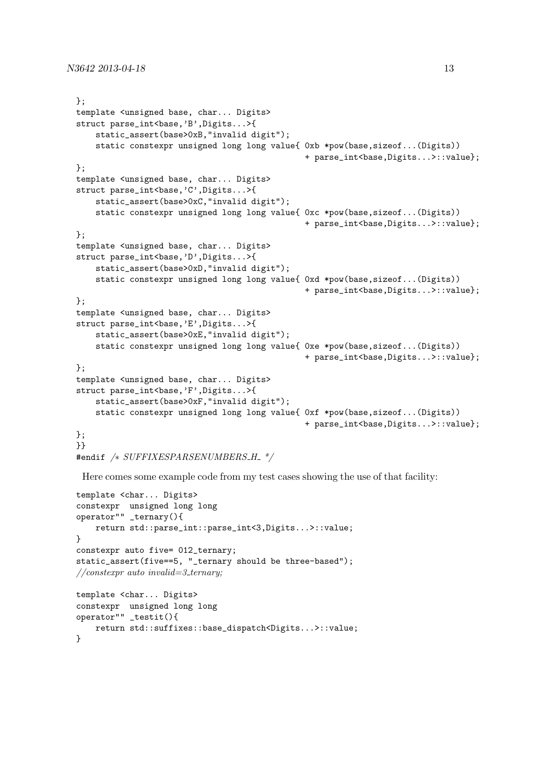```
};
template <unsigned base, char... Digits>
struct parse_int<base,'B',Digits...>{
    static_assert(base>0xB,"invalid digit");
    static constexpr unsigned long long value{ 0xb *pow(base,sizeof...(Digits))
                                                + parse_int<base,Digits...>::value};
};
template <unsigned base, char... Digits>
struct parse_int<br/>base,'C',Digits...>{
    static_assert(base>0xC,"invalid digit");
    static constexpr unsigned long long value{ 0xc *pow(base,sizeof...(Digits))
                                                + parse_int<br/>base,Digits...>::value};
};
template <unsigned base, char... Digits>
struct parse_int<br/>base,'D',Digits...>{
    static_assert(base>0xD,"invalid digit");
    static constexpr unsigned long long value{ 0xd *pow(base,sizeof...(Digits))
                                                + parse_int<br/>base,Digits...>::value};
};
template <unsigned base, char... Digits>
struct parse_int<br/>base,'E',Digits...>{
    static_assert(base>0xE,"invalid digit");
    static constexpr unsigned long long value{ 0xe *pow(base,sizeof...(Digits))
                                                + parse_int<br/>base,Digits...>::value};
};
template <unsigned base, char... Digits>
struct parse_int<br/>base,'F',Digits...>{
    static_assert(base>0xF,"invalid digit");
    static constexpr unsigned long long value{ 0xf *pow(base,sizeof...(Digits))
                                                + parse_int<base,Digits...>::value};
};
}}
```
#endif /\* SUFFIXESPARSENUMBERS\_H\_ \*/

Here comes some example code from my test cases showing the use of that facility:

```
template <char... Digits>
constexpr unsigned long long
operator"" _ternary(){
    return std::parse_int::parse_int<3,Digits...>::value;
}
constexpr auto five= 012_ternary;
static_assert(five==5, "_ternary should be three-based");
// \textit{constexpr} auto invalid=3_ternary;
template <char... Digits>
constexpr unsigned long long
operator"" _testit(){
   return std::suffixes::base_dispatch<Digits...>::value;
}
```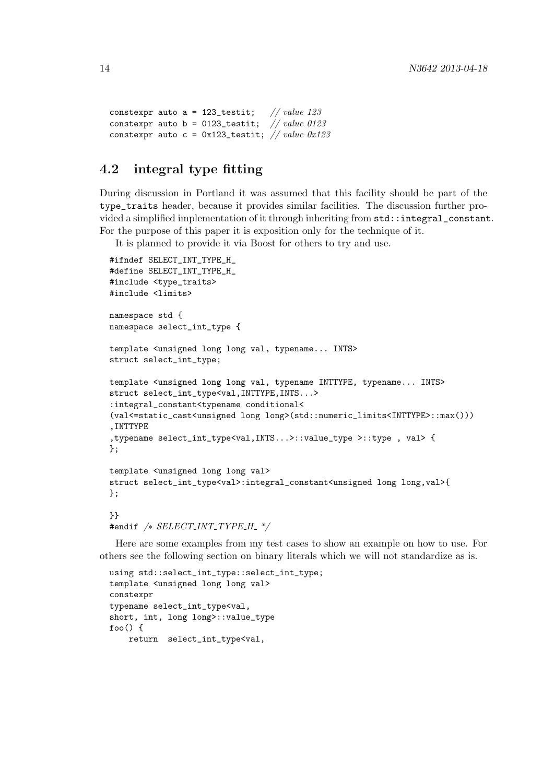```
constexpr auto a = 123_testit; // value 123constexpr auto b = 0123_testit; // value 0123
constexpr auto c = 0x123_testit; \frac{1}{2} value 0x123
```
# 4.2 integral type fitting

During discussion in Portland it was assumed that this facility should be part of the type\_traits header, because it provides similar facilities. The discussion further provided a simplified implementation of it through inheriting from std::integral\_constant. For the purpose of this paper it is exposition only for the technique of it.

It is planned to provide it via Boost for others to try and use.

```
#ifndef SELECT_INT_TYPE_H_
#define SELECT_INT_TYPE_H_
#include <type_traits>
#include <limits>
namespace std {
namespace select_int_type {
template <unsigned long long val, typename... INTS>
struct select_int_type;
template <unsigned long long val, typename INTTYPE, typename... INTS>
struct select_int_type<val,INTTYPE,INTS...>
:integral_constant<typename conditional<
(val<=static_cast<unsigned long long>(std::numeric_limits<INTTYPE>::max()))
,INTTYPE
,typename select_int_type<val,INTS...>::value_type >::type , val> {
};
template <unsigned long long val>
struct select_int_type<val>:integral_constant<unsigned long long,val>{
};
}}
```

```
#endif /∗ SELECT INT TYPE H */
```
Here are some examples from my test cases to show an example on how to use. For others see the following section on binary literals which we will not standardize as is.

```
using std::select_int_type::select_int_type;
template <unsigned long long val>
constexpr
typename select_int_type<val,
short, int, long long>::value_type
foo() {
   return select_int_type<val,
```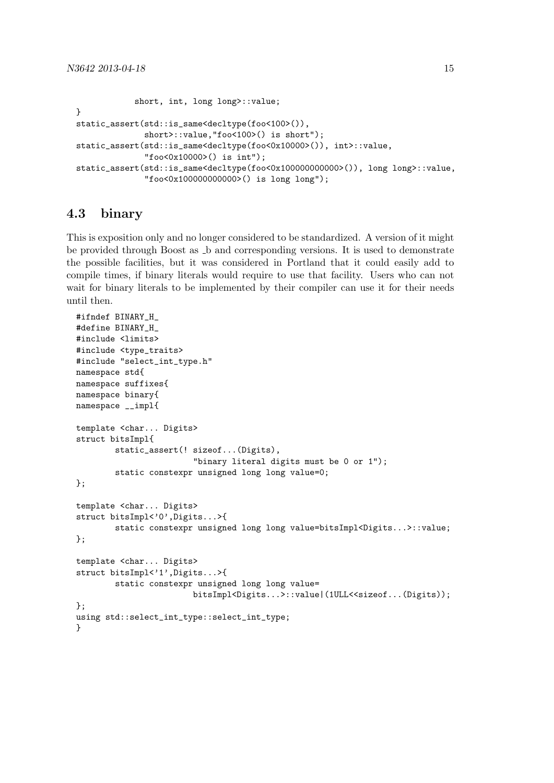```
short, int, long long>::value;
}
static_assert(std::is_same<decltype(foo<100>()),
              short>::value,"foo<100>() is short");
static_assert(std::is_same<decltype(foo<0x10000>()), int>::value,
              "foo<0x10000>() is int");
static_assert(std::is_same<decltype(foo<0x100000000000>()), long long>::value,
              "foo<0x100000000000>() is long long");
```
### 4.3 binary

This is exposition only and no longer considered to be standardized. A version of it might be provided through Boost as b and corresponding versions. It is used to demonstrate the possible facilities, but it was considered in Portland that it could easily add to compile times, if binary literals would require to use that facility. Users who can not wait for binary literals to be implemented by their compiler can use it for their needs until then.

```
#ifndef BINARY H
#define BINARY_H_
#include <limits>
#include <type_traits>
#include "select_int_type.h"
namespace std{
namespace suffixes{
namespace binary{
namespace __impl{
template <char... Digits>
struct bitsImpl{
        static_assert(! sizeof...(Digits),
                        "binary literal digits must be 0 or 1");
        static constexpr unsigned long long value=0;
};
template <char... Digits>
struct bitsImpl<'0',Digits...>{
        static constexpr unsigned long long value=bitsImpl<Digits...>::value;
};
template <char... Digits>
struct bitsImpl<'1',Digits...>{
        static constexpr unsigned long long value=
                        bitsImpl<Digits...>::value|(1ULL<<sizeof...(Digits));
};
using std::select_int_type::select_int_type;
}
```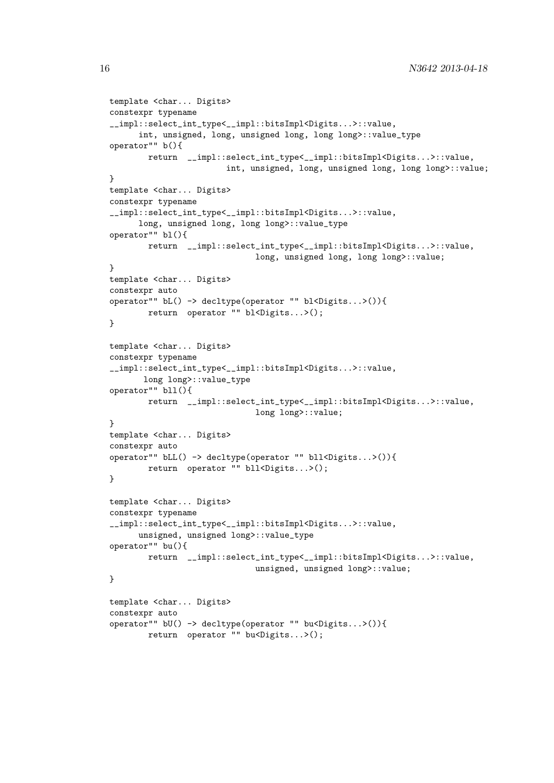```
template <char... Digits>
constexpr typename
__impl::select_int_type<__impl::bitsImpl<Digits...>::value,
      int, unsigned, long, unsigned long, long long>::value_type
operator"" b(){
       return __impl::select_int_type<__impl::bitsImpl<Digits...>::value,
                        int, unsigned, long, unsigned long, long long>::value;
}
template <char... Digits>
constexpr typename
__impl::select_int_type<__impl::bitsImpl<Digits...>::value,
      long, unsigned long, long long>::value_type
operator"" bl(){
       return __impl::select_int_type<__impl::bitsImpl<Digits...>::value,
                              long, unsigned long, long long>::value;
}
template <char... Digits>
constexpr auto
operator"" bL() -> decltype(operator "" bl<Digits...>()){
        return operator "" bl<Digits...>();
}
template <char... Digits>
constexpr typename
__impl::select_int_type<__impl::bitsImpl<Digits...>::value,
       long long>::value_type
operator"" bll(){
        return __impl::select_int_type<__impl::bitsImpl<Digits...>::value,
                              long long>::value;
}
template <char... Digits>
constexpr auto
operator"" bLL() -> decltype(operator "" bll<Digits...>()){
        return operator "" bll<Digits...>();
}
template <char... Digits>
constexpr typename
__impl::select_int_type<__impl::bitsImpl<Digits...>::value,
     unsigned, unsigned long>::value_type
operator"" bu(){
        return __impl::select_int_type<__impl::bitsImpl<Digits...>::value,
                              unsigned, unsigned long>::value;
}
template <char... Digits>
constexpr auto
operator"" bU() -> decltype(operator "" bu<Digits...>()){
        return operator "" bu<Digits...>();
```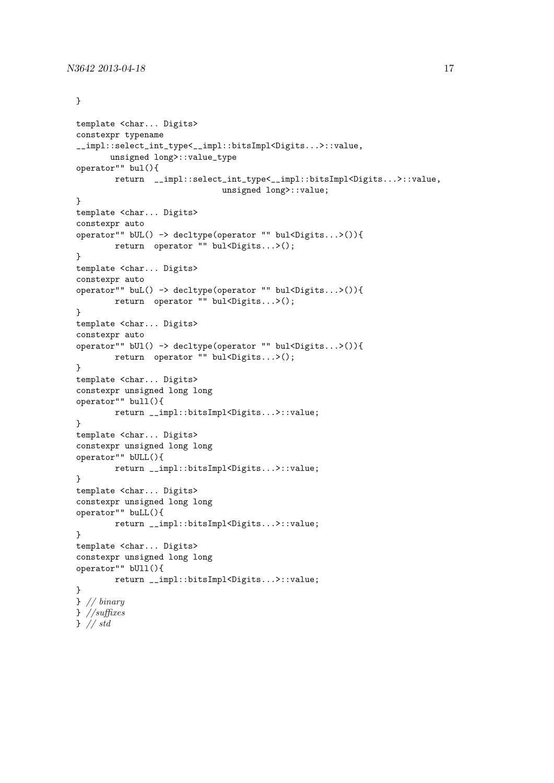#### }

```
template <char... Digits>
constexpr typename
__impl::select_int_type<__impl::bitsImpl<Digits...>::value,
      unsigned long>::value_type
operator"" bul(){
       return __impl::select_int_type<__impl::bitsImpl<Digits...>::value,
                              unsigned long>::value;
}
template <char... Digits>
constexpr auto
operator"" bUL() -> decltype(operator "" bul<Digits...>()){
        return operator "" bul<Digits...>();
}
template <char... Digits>
constexpr auto
operator"" buL() -> decltype(operator "" bul<Digits...>()){
        return operator "" bul<Digits...>();
}
template <char... Digits>
constexpr auto
operator"" bUl() -> decltype(operator "" bul<Digits...>()){
        return operator "" bul<Digits...>();
}
template <char... Digits>
constexpr unsigned long long
operator"" bull(){
        return __impl::bitsImpl<Digits...>::value;
}
template <char... Digits>
constexpr unsigned long long
operator"" bULL(){
        return __impl::bitsImpl<Digits...>::value;
}
template <char... Digits>
constexpr unsigned long long
operator"" buLL(){
        return __impl::bitsImpl<Digits...>::value;
}
template <char... Digits>
constexpr unsigned long long
operator"" bUll(){
        return __impl::bitsImpl<Digits...>::value;
}
} // binary
} //suffixes
} // std
```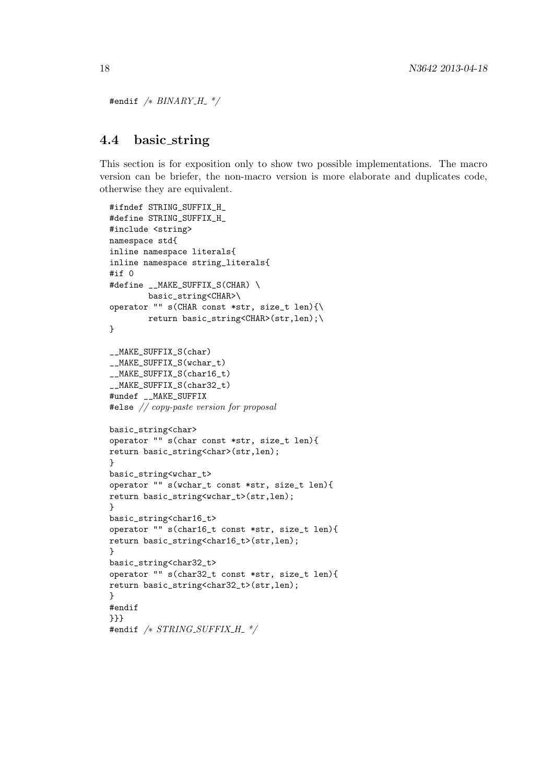```
#endif /* BINARY_H */
```
### 4.4 basic string

This section is for exposition only to show two possible implementations. The macro version can be briefer, the non-macro version is more elaborate and duplicates code, otherwise they are equivalent.

```
#ifndef STRING_SUFFIX_H_
#define STRING_SUFFIX_H_
#include <string>
namespace std{
inline namespace literals{
inline namespace string_literals{
#if 0
#define __MAKE_SUFFIX_S(CHAR) \
        basic_string<CHAR>\
operator "" s(CHAR const *str, size_t len){\
        return basic_string<CHAR>(str,len);\
}
__MAKE_SUFFIX_S(char)
MAKE_SUFFIX_S(wchar_t)
__MAKE_SUFFIX_S(char16_t)
__MAKE_SUFFIX_S(char32_t)
#undef __MAKE_SUFFIX
#else // copy-paste version for proposal
basic_string<char>
operator "" s(char const *str, size_t len){
return basic_string<char>(str,len);
}
basic_string<wchar_t>
operator "" s(wchar_t const *str, size_t len){
return basic_string<wchar_t>(str,len);
}
basic_string<char16_t>
operator "" s(char16_t const *str, size_t len){
return basic_string<char16_t>(str,len);
}
basic_string<char32_t>
operator "" s(char32_t const *str, size_t len){
return basic_string<char32_t>(str,len);
}
#endif
}}}
#endif /* STRING\_SUFFIX_H */
```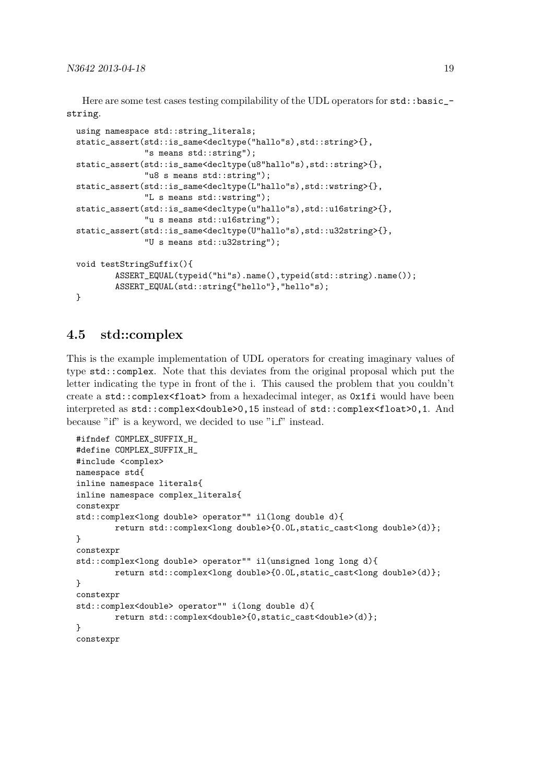Here are some test cases testing compilability of the UDL operators for std::basic\_string.

```
using namespace std::string_literals;
static_assert(std::is_same<decltype("hallo"s),std::string>{},
              "s means std::string");
static_assert(std::is_same<decltype(u8"hallo"s),std::string>{},
              "u8 s means std::string");
static_assert(std::is_same<decltype(L"hallo"s),std::wstring>{},
              "L s means std::wstring");
static_assert(std::is_same<decltype(u"hallo"s),std::u16string>{},
              "u s means std::u16string");
static_assert(std::is_same<decltype(U"hallo"s),std::u32string>{},
              "U s means std::u32string");
void testStringSuffix(){
        ASSERT_EQUAL(typeid("hi"s).name(),typeid(std::string).name());
        ASSERT_EQUAL(std::string{"hello"},"hello"s);
}
```
#### 4.5 std::complex

This is the example implementation of UDL operators for creating imaginary values of type std::complex. Note that this deviates from the original proposal which put the letter indicating the type in front of the i. This caused the problem that you couldn't create a std::complex<float> from a hexadecimal integer, as 0x1fi would have been interpreted as std::complex<double>0,15 instead of std::complex<float>0,1. And because "if" is a keyword, we decided to use "i\_f" instead.

```
#ifndef COMPLEX_SUFFIX_H_
#define COMPLEX_SUFFIX_H_
#include <complex>
namespace std{
inline namespace literals{
inline namespace complex_literals{
constexpr
std::complex<long double> operator"" il(long double d){
        return std::complex<long double>{0.0L,static_cast<long double>(d)};
}
constexpr
std::complex<long double> operator"" il(unsigned long long d){
        return std::complex<long double>{0.0L,static_cast<long double>(d)};
}
constexpr
std::complex<double> operator"" i(long double d){
        return std::complex<double>{0,static_cast<double>(d)};
}
constexpr
```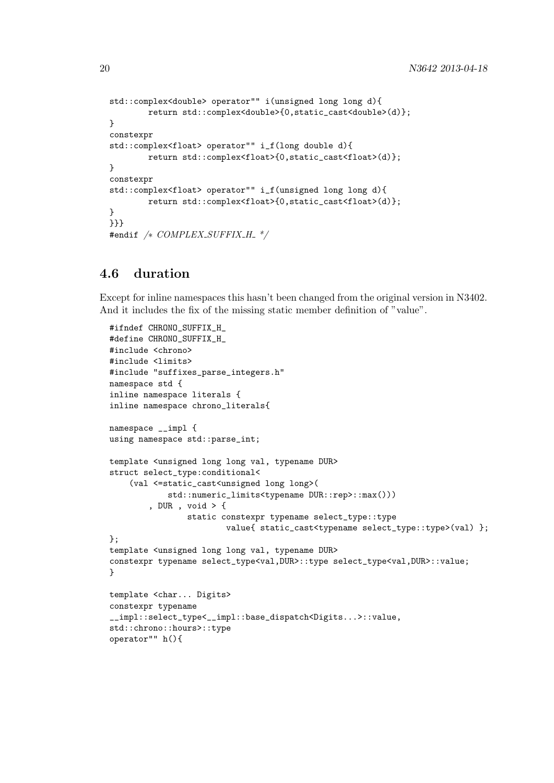```
std::complex<double> operator"" i(unsigned long long d){
        return std::complex<double>{0,static_cast<double>(d)};
}
constexpr
std::complex<float> operator"" i_f(long double d){
        return std::complex<float>{0,static_cast<float>(d)};
}
constexpr
std::complex<float> operator"" i_f(unsigned long long d){
        return std::complex<float>{0,static_cast<float>(d)};
}
}}}
#endif /* COMPLEX_SUFFIX_H_*/
```
### 4.6 duration

Except for inline namespaces this hasn't been changed from the original version in N3402. And it includes the fix of the missing static member definition of "value".

```
#ifndef CHRONO_SUFFIX_H_
#define CHRONO_SUFFIX_H_
#include <chrono>
#include <limits>
#include "suffixes_parse_integers.h"
namespace std {
inline namespace literals {
inline namespace chrono_literals{
namespace __impl {
using namespace std::parse_int;
template <unsigned long long val, typename DUR>
struct select_type:conditional<
    (val <=static_cast<unsigned long long>(
            std::numeric_limits<typename DUR::rep>::max()))
        , DUR , void > {
                static constexpr typename select_type::type
                        value{ static_cast<typename select_type::type>(val) };
};
template <unsigned long long val, typename DUR>
constexpr typename select_type<val,DUR>::type select_type<val,DUR>::value;
}
template <char... Digits>
constexpr typename
__impl::select_type<__impl::base_dispatch<Digits...>::value,
std::chrono::hours>::type
operator"" h(){
```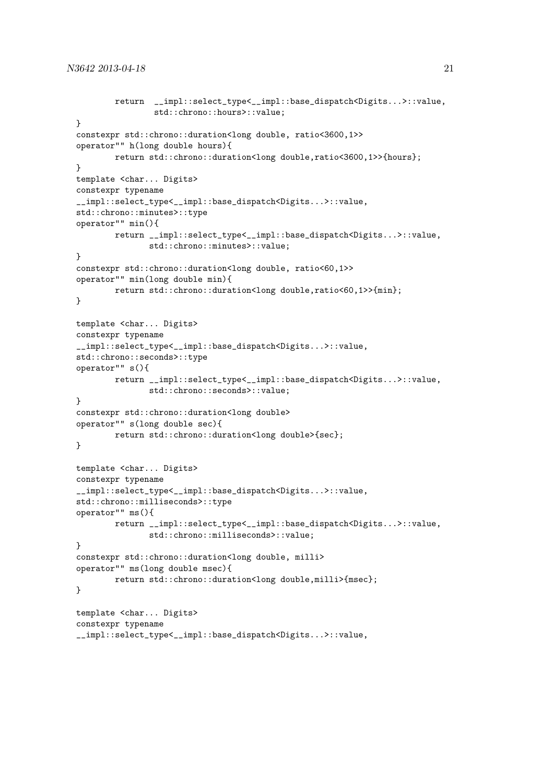```
return __impl::select_type<__impl::base_dispatch<Digits...>::value,
                std::chrono::hours>::value;
}
constexpr std::chrono::duration<long double, ratio<3600,1>>
operator"" h(long double hours){
        return std::chrono::duration<long double,ratio<3600,1>>{hours};
}
template <char... Digits>
constexpr typename
__impl::select_type<__impl::base_dispatch<Digits...>::value,
std::chrono::minutes>::type
operator"" min(){
        return __impl::select_type<__impl::base_dispatch<Digits...>::value,
               std::chrono::minutes>::value;
}
constexpr std::chrono::duration<long double, ratio<60,1>>
operator"" min(long double min){
        return std::chrono::duration<long double,ratio<60,1>>{min};
}
template <char... Digits>
constexpr typename
__impl::select_type<__impl::base_dispatch<Digits...>::value,
std::chrono::seconds>::type
operator"" s(){
        return __impl::select_type<__impl::base_dispatch<Digits...>::value,
               std::chrono::seconds>::value;
}
constexpr std::chrono::duration<long double>
operator"" s(long double sec){
        return std::chrono::duration<long double>{sec};
}
template <char... Digits>
constexpr typename
__impl::select_type<__impl::base_dispatch<Digits...>::value,
std::chrono::milliseconds>::type
operator"" ms(){
        return __impl::select_type<__impl::base_dispatch<Digits...>::value,
              std::chrono::milliseconds>::value;
}
constexpr std::chrono::duration<long double, milli>
operator"" ms(long double msec){
        return std::chrono::duration<long double,milli>{msec};
}
template <char... Digits>
constexpr typename
__impl::select_type<__impl::base_dispatch<Digits...>::value,
```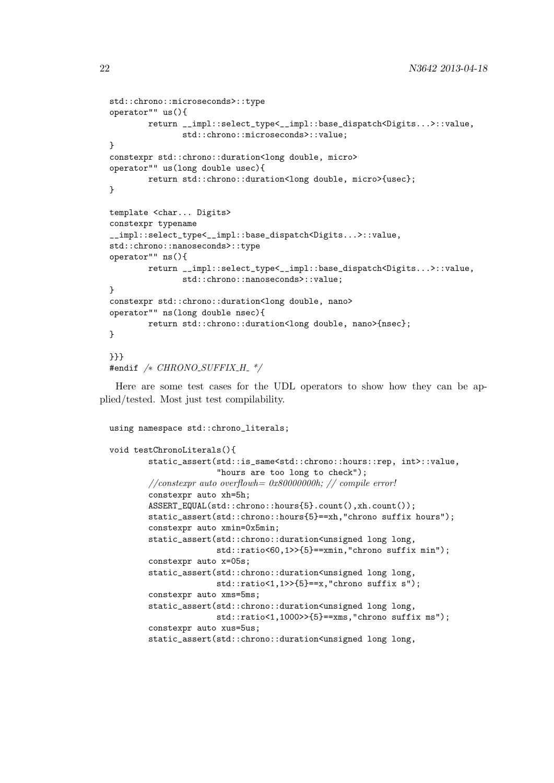```
std::chrono::microseconds>::type
operator"" us(){
       return __impl::select_type<__impl::base_dispatch<Digits...>::value,
              std::chrono::microseconds>::value;
}
constexpr std::chrono::duration<long double, micro>
operator"" us(long double usec){
       return std::chrono::duration<long double, micro>{usec};
}
template <char... Digits>
constexpr typename
__impl::select_type<__impl::base_dispatch<Digits...>::value,
std::chrono::nanoseconds>::type
operator"" ns(){
       return __impl::select_type<__impl::base_dispatch<Digits...>::value,
              std::chrono::nanoseconds>::value;
}
constexpr std::chrono::duration<long double, nano>
operator"" ns(long double nsec){
       return std::chrono::duration<long double, nano>{nsec};
}
}}}
#endif /* CHRONO_SUFFIX_H_*/
```
Here are some test cases for the UDL operators to show how they can be applied/tested. Most just test compilability.

using namespace std::chrono\_literals;

```
void testChronoLiterals(){
        static_assert(std::is_same<std::chrono::hours::rep, int>::value,
                      "hours are too long to check");
        //\textit{constexpr} auto overflowh= 0x80000000h; // compile error!
        constexpr auto xh=5h;
        ASSERT_EQUAL(std::chrono::hours{5}.count(),xh.count());
        static assert(std::chrono::hours{5}==xh,"chrono suffix hours");
        constexpr auto xmin=0x5min;
        static_assert(std::chrono::duration<unsigned long long,
                      std::ratio<60,1>>{5}==xmin,"chrono suffix min");
        constexpr auto x=05s;
        static_assert(std::chrono::duration<unsigned long long,
                      std::ratio<1,1>>{5}==x,"chrono suffix s");
        constexpr auto xms=5ms;
        static_assert(std::chrono::duration<unsigned long long,
                      std::ratio<1,1000>>{5}==xms,"chrono suffix ms");
        constexpr auto xus=5us;
        static_assert(std::chrono::duration<unsigned long long,
```